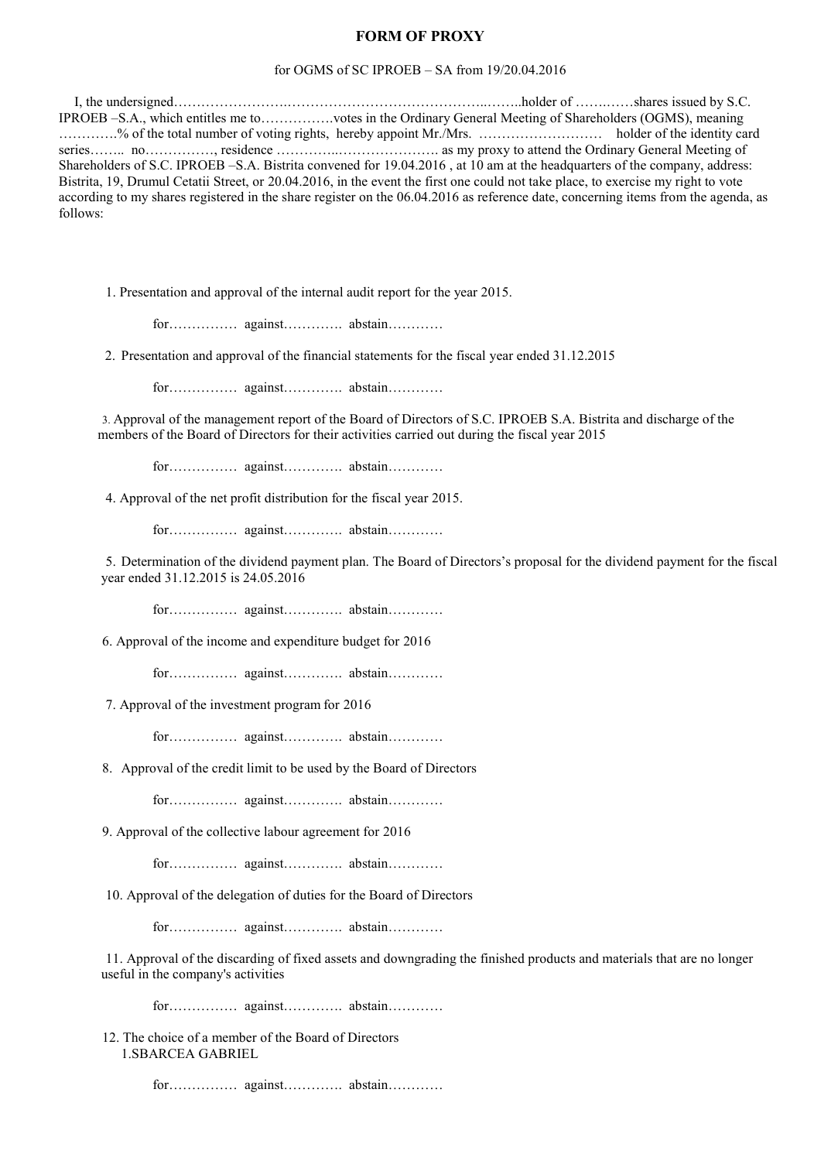## **FORM OF PROXY**

## for OGMS of SC IPROEB – SA from 19/20.04.2016

I, the undersigned…………………….……………………………………..……..holder of …….……shares issued by S.C. IPROEB –S.A., which entitles me to…………….votes in the Ordinary General Meeting of Shareholders (OGMS), meaning ………….% of the total number of voting rights, hereby appoint Mr./Mrs. ……………………… holder of the identity card series…….. no……………, residence …………..…………………. as my proxy to attend the Ordinary General Meeting of Shareholders of S.C. IPROEB –S.A. Bistrita convened for 19.04.2016 , at 10 am at the headquarters of the company, address: Bistrita, 19, Drumul Cetatii Street, or 20.04.2016, in the event the first one could not take place, to exercise my right to vote according to my shares registered in the share register on the 06.04.2016 as reference date, concerning items from the agenda, as follows:

1. Presentation and approval of the internal audit report for the year 2015.

for…………… against…………. abstain…………

2. Presentation and approval of the financial statements for the fiscal year ended 31.12.2015

for…………… against…………. abstain…………

3. Approval of the management report of the Board of Directors of S.C. IPROEB S.A. Bistrita and discharge of the members of the Board of Directors for their activities carried out during the fiscal year 2015

for…………… against…………. abstain…………

4. Approval of the net profit distribution for the fiscal year 2015.

for…………… against…………. abstain…………

5. Determination of the dividend payment plan. The Board of Directors's proposal for the dividend payment for the fiscal year ended 31.12.2015 is 24.05.2016

for…………… against…………. abstain…………

6. Approval of the income and expenditure budget for 2016

for…………… against…………. abstain…………

7. Approval of the investment program for 2016

for…………… against…………. abstain…………

8. Approval of the credit limit to be used by the Board of Directors

for…………… against…………. abstain…………

9. Approval of the collective labour agreement for 2016

for…………… against…………. abstain…………

10. Approval of the delegation of duties for the Board of Directors

for…………… against…………. abstain…………

11. Approval of the discarding of fixed assets and downgrading the finished products and materials that are no longer useful in the company's activities

for…………… against…………. abstain…………

12. The choice of a member of the Board of Directors 1.SBARCEA GABRIEL

for…………… against…………. abstain…………